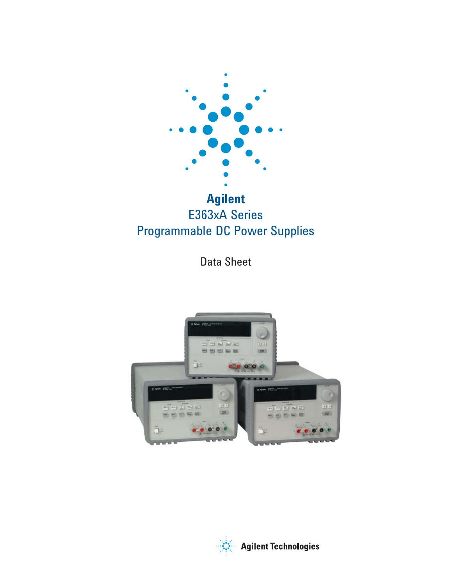

# E363xA Series Programmable DC Power Supplies

Data Sheet



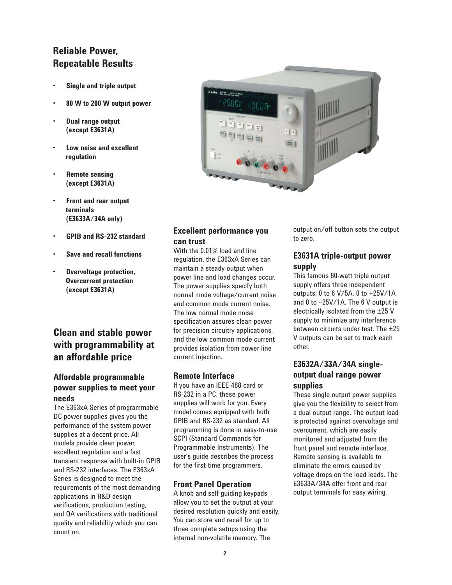## **Reliable Power, Repeatable Results**

- **Single and triple output** •
- **80 W to 200 W output power** •
- **Dual range output (except E3631A)** •
- **Low noise and excellent regulation** •
- **Remote sensing (except E3631A)** •
- **Front and rear output terminals (E3633A/34A only)** •
- **GPIB and RS-232 standard** •
- **Save and recall functions** •
- **Overvoltage protection, Overcurrent protection (except E3631A)** •

## **Clean and stable power with programmability at an affordable price**

### **Affordable programmable power supplies to meet your needs**

The E363xA Series of programmable DC power supplies gives you the performance of the system power supplies at a decent price. All models provide clean power, excellent regulation and a fast transient response with built-in GPIB and RS-232 interfaces. The E363xA Series is designed to meet the requirements of the most demanding applications in R&D design verifications, production testing, and QA verifications with traditional quality and reliability which you can count on.



### **Excellent performance you can trust**

With the 0.01% load and line regulation, the E363xA Series can maintain a steady output when power line and load changes occur. The power supplies specify both normal mode voltage/current noise and common mode current noise. The low normal mode noise specification assures clean power for precision circuitry applications, and the low common mode current provides isolation from power line current injection.

### **Remote Interface**

If you have an IEEE-488 card or RS-232 in a PC, these power supplies will work for you. Every model comes equipped with both GPIB and RS-232 as standard. All programming is done in easy-to-use SCPI (Standard Commands for Programmable Instruments). The user's guide describes the process for the first-time programmers.

### **Front Panel Operation**

A knob and self-guiding keypads allow you to set the output at your desired resolution quickly and easily. You can store and recall for up to three complete setups using the internal non-volatile memory. The

output on/off button sets the output to zero.

### **E3631A triple-output power supply**

This famous 80-watt triple output supply offers three independent outputs: 0 to 6 V/5A, 0 to +25V/1A and 0 to –25V/1A. The 6 V output is electrically isolated from the ±25 V supply to minimize any interference between circuits under test. The ±25 V outputs can be set to track each other.

### **E3632A/33A/34A singleoutput dual range power supplies**

These single output power supplies give you the flexibility to select from a dual output range. The output load is protected against overvoltage and overcurrent, which are easily monitored and adjusted from the front panel and remote interface. Remote sensing is available to eliminate the errors caused by voltage drops on the load leads. The E3633A/34A offer front and rear output terminals for easy wiring.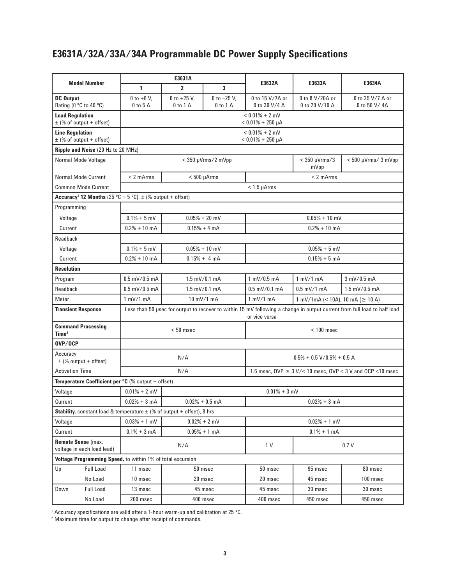# E3631A/32A/33A/34A Programmable DC Power Supply Specifications

| <b>Model Number</b>                                                                              | E3631A                                                                                                                                    |                               |                               |                                                                 |                                                                    |                                  |  |  |  |  |
|--------------------------------------------------------------------------------------------------|-------------------------------------------------------------------------------------------------------------------------------------------|-------------------------------|-------------------------------|-----------------------------------------------------------------|--------------------------------------------------------------------|----------------------------------|--|--|--|--|
|                                                                                                  | 1                                                                                                                                         | $\overline{2}$                | $\overline{\mathbf{3}}$       | E3632A                                                          | E3633A                                                             | E3634A                           |  |  |  |  |
| <b>DC Output</b><br>Rating (0 °C to 40 °C)                                                       | $0$ to +6 V,<br>$0$ to $5$ A                                                                                                              | $0$ to +25 V,<br>$0$ to $1$ A | 0 to $-25$ V,<br>$0$ to $1$ A | 0 to 15 V/7A or<br>0 to 30 V/4 A                                | 0 to 8 V/20A or<br>0 to 20 V/10 A                                  | 0 to 25 V/7 A or<br>0 to 50 V/4A |  |  |  |  |
| <b>Load Regulation</b><br>$\pm$ (% of output + offset)                                           | $< 0.01\% + 2$ mV<br>$< 0.01\% + 250 \mu A$                                                                                               |                               |                               |                                                                 |                                                                    |                                  |  |  |  |  |
| <b>Line Regulation</b><br>$\pm$ (% of output + offset)                                           | $< 0.01\% + 2$ mV<br>$< 0.01\% + 250 \mu A$                                                                                               |                               |                               |                                                                 |                                                                    |                                  |  |  |  |  |
| Ripple and Noise (20 Hz to 20 MHz)                                                               |                                                                                                                                           |                               |                               |                                                                 |                                                                    |                                  |  |  |  |  |
| Normal Mode Voltage                                                                              |                                                                                                                                           |                               | $<$ 350 $\mu$ Vrms/2 mVpp     |                                                                 | $<$ 350 $\mu$ Vrms/3<br>mVpp                                       | $< 500 \mu V$ rms/ 3 mVpp        |  |  |  |  |
| <b>Normal Mode Current</b>                                                                       | $< 2$ mArms                                                                                                                               | $< 500 \mu A$ rms             |                               |                                                                 | $< 2$ mArms                                                        |                                  |  |  |  |  |
| <b>Common Mode Current</b>                                                                       |                                                                                                                                           |                               |                               | $< 1.5 \mu A$ rms                                               |                                                                    |                                  |  |  |  |  |
| Accuracy <sup>1</sup> 12 Months (25 °C + 5 °C), $\pm$ (% output + offset)                        |                                                                                                                                           |                               |                               |                                                                 |                                                                    |                                  |  |  |  |  |
| Programming                                                                                      |                                                                                                                                           |                               |                               |                                                                 |                                                                    |                                  |  |  |  |  |
| Voltage                                                                                          | $0.1\% + 5$ mV                                                                                                                            |                               | $0.05% + 20$ mV               | $0.05\% + 10$ mV                                                |                                                                    |                                  |  |  |  |  |
| Current                                                                                          | $0.2% + 10$ mA                                                                                                                            | $0.15% + 4 mA$                |                               | $0.2% + 10$ mA                                                  |                                                                    |                                  |  |  |  |  |
| Readback                                                                                         |                                                                                                                                           |                               |                               |                                                                 |                                                                    |                                  |  |  |  |  |
| Voltage                                                                                          | $0.1\% + 5$ mV                                                                                                                            | $0.05\% + 10$ mV              |                               | $0.05% + 5$ mV                                                  |                                                                    |                                  |  |  |  |  |
| Current                                                                                          | $0.2% + 10$ mA                                                                                                                            | $0.15% + 4 mA$                |                               | $0.15% + 5mA$                                                   |                                                                    |                                  |  |  |  |  |
| <b>Resolution</b>                                                                                |                                                                                                                                           |                               |                               |                                                                 |                                                                    |                                  |  |  |  |  |
| Program                                                                                          | $0.5$ mV/0.5 mA                                                                                                                           |                               | $1.5$ mV/0.1 mA               | $1 \text{ mV} / 0.5 \text{ mA}$                                 | $1 \text{ mV}/1 \text{ mA}$                                        | $3 \text{ mV} / 0.5 \text{ mA}$  |  |  |  |  |
| Readback                                                                                         | $0.5$ mV/0.5 mA                                                                                                                           | $1.5$ mV/0.1 mA               |                               | $0.5$ mV/0.1 mA                                                 | $0.5$ mV/1 mA                                                      | $1.5$ mV/0.5 mA                  |  |  |  |  |
| Meter                                                                                            | $1 \text{ mV}/1 \text{ mA}$                                                                                                               | 10 mV/1 mA                    |                               | $1$ mV/1 mA                                                     | $1 \text{ mV}/1 \text{ mA}$ (< 10A), 10 mA ( $\geq 10 \text{ A}$ ) |                                  |  |  |  |  |
| <b>Transient Response</b>                                                                        | Less than 50 usec for output to recover to within 15 mV following a change in output current from full load to half load<br>or vice versa |                               |                               |                                                                 |                                                                    |                                  |  |  |  |  |
| <b>Command Processing</b><br>Time <sup>2</sup>                                                   | $< 50$ msec                                                                                                                               |                               |                               | $< 100$ msec                                                    |                                                                    |                                  |  |  |  |  |
| OVP/OCP                                                                                          |                                                                                                                                           |                               |                               |                                                                 |                                                                    |                                  |  |  |  |  |
| Accuracy<br>$\pm$ (% output + offset)                                                            | N/A                                                                                                                                       |                               |                               | $0.5\% + 0.5$ V/0.5% + 0.5 A                                    |                                                                    |                                  |  |  |  |  |
| <b>Activation Time</b>                                                                           | N/A                                                                                                                                       |                               |                               | 1.5 msec, OVP $\geq$ 3 V/< 10 msec, OVP < 3 V and OCP < 10 msec |                                                                    |                                  |  |  |  |  |
| <b>Temperature Coefficient per <math>{}^{\circ}</math>C</b> (% output + offset)                  |                                                                                                                                           |                               |                               |                                                                 |                                                                    |                                  |  |  |  |  |
| Voltage                                                                                          | $0.01\% + 2$ mV                                                                                                                           |                               |                               | $0.01\% + 3$ mV                                                 |                                                                    |                                  |  |  |  |  |
| Current                                                                                          | $0.02% + 3 mA$                                                                                                                            |                               | $0.02\% + 0.5$ mA             | $0.02% + 3 mA$                                                  |                                                                    |                                  |  |  |  |  |
| <b>Stability, constant load &amp; temperature <math>\pm</math> (% of output + offset), 8 hrs</b> |                                                                                                                                           |                               |                               |                                                                 |                                                                    |                                  |  |  |  |  |
| Voltage                                                                                          | $0.03% + 1$ mV                                                                                                                            | $0.02% + 2$ mV                |                               | $0.02% + 1$ mV                                                  |                                                                    |                                  |  |  |  |  |
| Current                                                                                          | $0.1% + 3 mA$                                                                                                                             |                               | $0.05% + 1 mA$                |                                                                 | $0.1\% + 1$ mA                                                     |                                  |  |  |  |  |
| Remote Sense (max.<br>N/A<br>voltage in each load lead)                                          |                                                                                                                                           |                               | 1 V                           | 0.7V                                                            |                                                                    |                                  |  |  |  |  |
| Voltage Programming Speed, to within 1% of total excursion                                       |                                                                                                                                           |                               |                               |                                                                 |                                                                    |                                  |  |  |  |  |
| Up<br><b>Full Load</b>                                                                           | 11 msec                                                                                                                                   |                               | 50 msec                       | 50 msec                                                         | 95 msec                                                            | 80 msec                          |  |  |  |  |
| No Load                                                                                          | 10 msec                                                                                                                                   |                               | 20 msec                       | 20 msec                                                         | 45 msec                                                            | 100 msec                         |  |  |  |  |
| <b>Full Load</b><br>Down                                                                         | 13 msec                                                                                                                                   |                               | 45 msec                       | 45 msec                                                         | 30 msec                                                            | 30 msec                          |  |  |  |  |
| No Load                                                                                          | 200 msec                                                                                                                                  |                               | 400 msec                      | 400 msec                                                        | 450 msec                                                           | 450 msec                         |  |  |  |  |

<sup>1</sup> Accuracy specifications are valid after a 1-hour warm-up and calibration at 25 °C.

2 Maximum time for output to change after receipt of commands.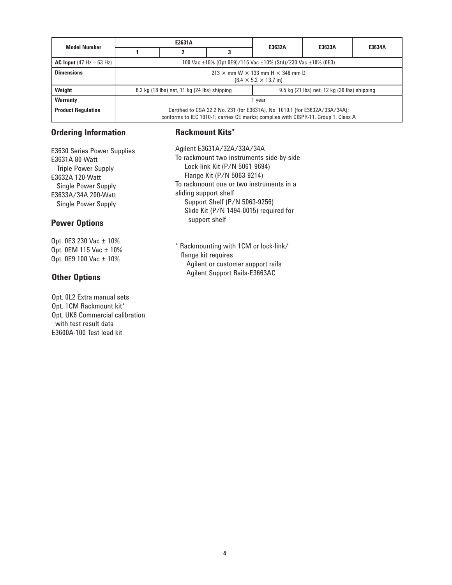| <b>Model Number</b>                               |                                                              | E3631A                                                                                                                                                             |  | E3632A                                               | E3633A | E3634A |  |  |  |  |
|---------------------------------------------------|--------------------------------------------------------------|--------------------------------------------------------------------------------------------------------------------------------------------------------------------|--|------------------------------------------------------|--------|--------|--|--|--|--|
|                                                   |                                                              |                                                                                                                                                                    |  |                                                      |        |        |  |  |  |  |
| <b>AC Input</b> $(47 \text{ Hz} - 63 \text{ Hz})$ | 100 Vac ±10% (Opt 0E9)/115 Vac ±10% (Std)/230 Vac ±10% (0E3) |                                                                                                                                                                    |  |                                                      |        |        |  |  |  |  |
| <b>Dimensions</b>                                 | $213 \times$ mm W $\times$ 133 mm H $\times$ 348 mm D        |                                                                                                                                                                    |  |                                                      |        |        |  |  |  |  |
|                                                   |                                                              | $(8.4 \times 5.2 \times 13.7 \text{ in})$                                                                                                                          |  |                                                      |        |        |  |  |  |  |
| Weight                                            |                                                              | 8.2 kg (18 lbs) net, 11 kg (24 lbs) shipping                                                                                                                       |  | $9.5$ kg $(21$ lbs) net, $12$ kg $(26$ lbs) shipping |        |        |  |  |  |  |
| <b>Warranty</b>                                   | vear                                                         |                                                                                                                                                                    |  |                                                      |        |        |  |  |  |  |
| <b>Product Regulation</b>                         |                                                              | Certified to CSA 22.2 No. 231 (for E3631A), No. 1010.1 (for E3632A/33A/34A);<br>conforms to IEC 1010-1; carries CE marks; complies with CISPR-11, Group 1, Class A |  |                                                      |        |        |  |  |  |  |

### **Ordering Information**

E3630 Series Power Supplies E3631A 80-Watt Triple Power Supply E3632A 120-Watt Single Power Supply E3633A/34A 200-Watt Single Power Supply

### **Power Options**

Opt. 0E3 230 Vac ± 10% Opt. 0EM 115 Vac ± 10% Opt. 0E9 100 Vac ± 10%

### **Other Options**

Opt. 0L2 Extra manual sets Opt. 1CM Rackmount kit\* Opt. UK6 Commercial calibration with test result data E3600A-100 Test lead kit

### **Rackmount Kits\***

Agilent E3631A/32A/33A/34A To rackmount two instruments side-by-side Lock-link Kit (P/N 5061-9694) Flange Kit (P/N 5063-9214) To rackmount one or two instruments in a sliding support shelf Support Shelf (P/N 5063-9256) Slide Kit (P/N 1494-0015) required for support shelf

\* Rackmounting with 1CM or lock-link/ flange kit requires Agilent or customer support rails Agilent Support Rails-E3663AC